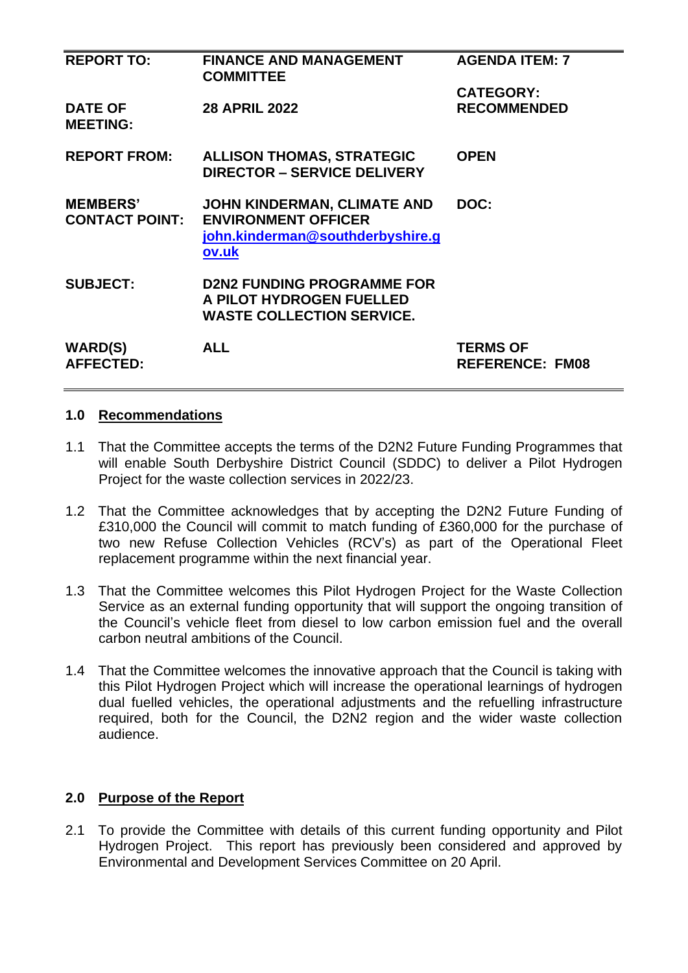| <b>REPORT TO:</b>                 | <b>FINANCE AND MANAGEMENT</b><br><b>COMMITTEE</b> | <b>AGENDA ITEM: 7</b>  |
|-----------------------------------|---------------------------------------------------|------------------------|
|                                   |                                                   | <b>CATEGORY:</b>       |
| <b>DATE OF</b><br><b>MEETING:</b> | <b>28 APRIL 2022</b>                              | <b>RECOMMENDED</b>     |
| <b>REPORT FROM:</b>               | <b>ALLISON THOMAS, STRATEGIC</b>                  | <b>OPEN</b>            |
|                                   | <b>DIRECTOR - SERVICE DELIVERY</b>                |                        |
| <b>MEMBERS'</b>                   | <b>JOHN KINDERMAN, CLIMATE AND</b>                | DOC:                   |
| <b>CONTACT POINT:</b>             | <b>ENVIRONMENT OFFICER</b>                        |                        |
|                                   | john.kinderman@southderbyshire.g<br>ov.uk         |                        |
| <b>SUBJECT:</b>                   | <b>D2N2 FUNDING PROGRAMME FOR</b>                 |                        |
|                                   | A PILOT HYDROGEN FUELLED                          |                        |
|                                   | <b>WASTE COLLECTION SERVICE.</b>                  |                        |
| <b>WARD(S)</b>                    | <b>ALL</b>                                        | <b>TERMS OF</b>        |
| <b>AFFECTED:</b>                  |                                                   | <b>REFERENCE: FM08</b> |
|                                   |                                                   |                        |

### **1.0 Recommendations**

- 1.1 That the Committee accepts the terms of the D2N2 Future Funding Programmes that will enable South Derbyshire District Council (SDDC) to deliver a Pilot Hydrogen Project for the waste collection services in 2022/23.
- 1.2 That the Committee acknowledges that by accepting the D2N2 Future Funding of £310,000 the Council will commit to match funding of £360,000 for the purchase of two new Refuse Collection Vehicles (RCV's) as part of the Operational Fleet replacement programme within the next financial year.
- 1.3 That the Committee welcomes this Pilot Hydrogen Project for the Waste Collection Service as an external funding opportunity that will support the ongoing transition of the Council's vehicle fleet from diesel to low carbon emission fuel and the overall carbon neutral ambitions of the Council.
- 1.4 That the Committee welcomes the innovative approach that the Council is taking with this Pilot Hydrogen Project which will increase the operational learnings of hydrogen dual fuelled vehicles, the operational adjustments and the refuelling infrastructure required, both for the Council, the D2N2 region and the wider waste collection audience.

## **2.0 Purpose of the Report**

2.1 To provide the Committee with details of this current funding opportunity and Pilot Hydrogen Project. This report has previously been considered and approved by Environmental and Development Services Committee on 20 April.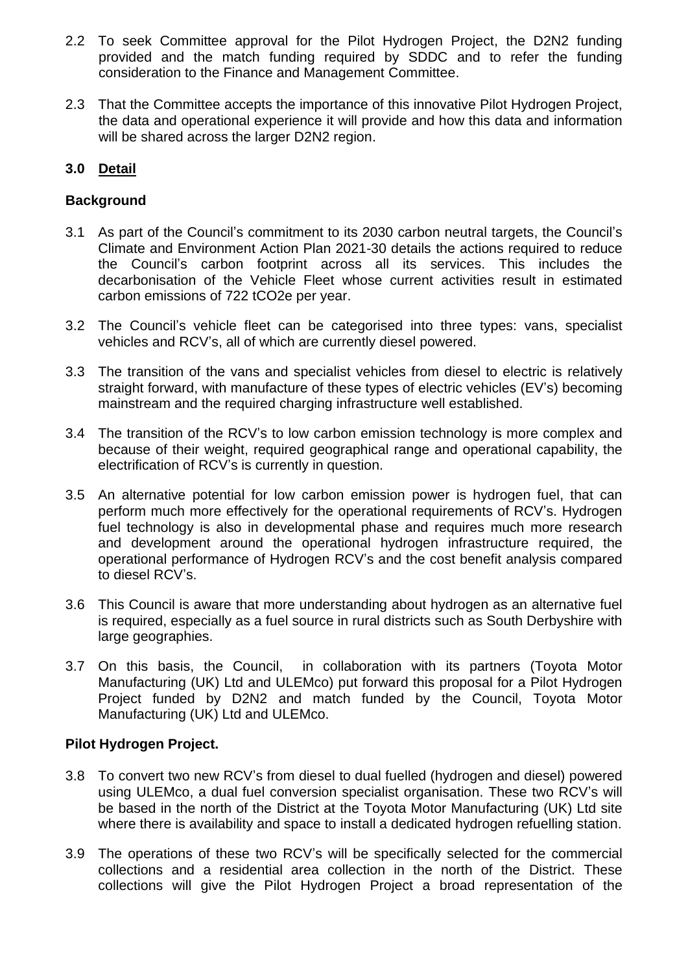- 2.2 To seek Committee approval for the Pilot Hydrogen Project, the D2N2 funding provided and the match funding required by SDDC and to refer the funding consideration to the Finance and Management Committee.
- 2.3 That the Committee accepts the importance of this innovative Pilot Hydrogen Project, the data and operational experience it will provide and how this data and information will be shared across the larger D2N2 region.

# **3.0 Detail**

## **Background**

- 3.1 As part of the Council's commitment to its 2030 carbon neutral targets, the Council's Climate and Environment Action Plan 2021-30 details the actions required to reduce the Council's carbon footprint across all its services. This includes the decarbonisation of the Vehicle Fleet whose current activities result in estimated carbon emissions of 722 tCO2e per year.
- 3.2 The Council's vehicle fleet can be categorised into three types: vans, specialist vehicles and RCV's, all of which are currently diesel powered.
- 3.3 The transition of the vans and specialist vehicles from diesel to electric is relatively straight forward, with manufacture of these types of electric vehicles (EV's) becoming mainstream and the required charging infrastructure well established.
- 3.4 The transition of the RCV's to low carbon emission technology is more complex and because of their weight, required geographical range and operational capability, the electrification of RCV's is currently in question.
- 3.5 An alternative potential for low carbon emission power is hydrogen fuel, that can perform much more effectively for the operational requirements of RCV's. Hydrogen fuel technology is also in developmental phase and requires much more research and development around the operational hydrogen infrastructure required, the operational performance of Hydrogen RCV's and the cost benefit analysis compared to diesel RCV's.
- 3.6 This Council is aware that more understanding about hydrogen as an alternative fuel is required, especially as a fuel source in rural districts such as South Derbyshire with large geographies.
- 3.7 On this basis, the Council, in collaboration with its partners (Toyota Motor Manufacturing (UK) Ltd and ULEMco) put forward this proposal for a Pilot Hydrogen Project funded by D2N2 and match funded by the Council, Toyota Motor Manufacturing (UK) Ltd and ULEMco.

## **Pilot Hydrogen Project.**

- 3.8 To convert two new RCV's from diesel to dual fuelled (hydrogen and diesel) powered using ULEMco, a dual fuel conversion specialist organisation. These two RCV's will be based in the north of the District at the Toyota Motor Manufacturing (UK) Ltd site where there is availability and space to install a dedicated hydrogen refuelling station.
- 3.9 The operations of these two RCV's will be specifically selected for the commercial collections and a residential area collection in the north of the District. These collections will give the Pilot Hydrogen Project a broad representation of the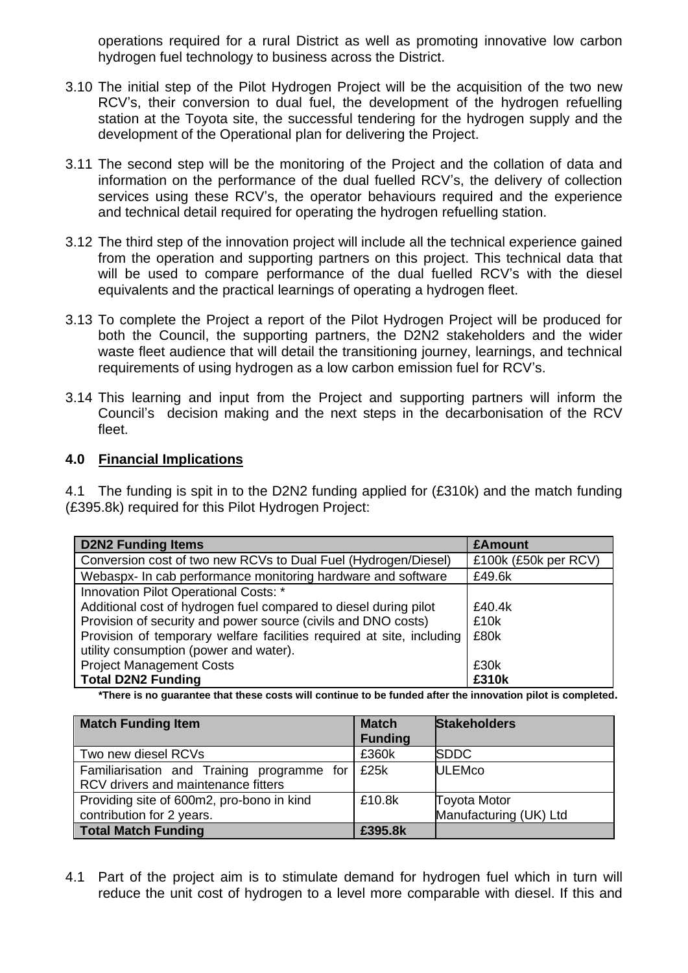operations required for a rural District as well as promoting innovative low carbon hydrogen fuel technology to business across the District.

- 3.10 The initial step of the Pilot Hydrogen Project will be the acquisition of the two new RCV's, their conversion to dual fuel, the development of the hydrogen refuelling station at the Toyota site, the successful tendering for the hydrogen supply and the development of the Operational plan for delivering the Project.
- 3.11 The second step will be the monitoring of the Project and the collation of data and information on the performance of the dual fuelled RCV's, the delivery of collection services using these RCV's, the operator behaviours required and the experience and technical detail required for operating the hydrogen refuelling station.
- 3.12 The third step of the innovation project will include all the technical experience gained from the operation and supporting partners on this project. This technical data that will be used to compare performance of the dual fuelled RCV's with the diesel equivalents and the practical learnings of operating a hydrogen fleet.
- 3.13 To complete the Project a report of the Pilot Hydrogen Project will be produced for both the Council, the supporting partners, the D2N2 stakeholders and the wider waste fleet audience that will detail the transitioning journey, learnings, and technical requirements of using hydrogen as a low carbon emission fuel for RCV's.
- 3.14 This learning and input from the Project and supporting partners will inform the Council's decision making and the next steps in the decarbonisation of the RCV fleet.

### **4.0 Financial Implications**

4.1 The funding is spit in to the D2N2 funding applied for (£310k) and the match funding (£395.8k) required for this Pilot Hydrogen Project:

| <b>D2N2 Funding Items</b>                                             | <b>£Amount</b>       |
|-----------------------------------------------------------------------|----------------------|
| Conversion cost of two new RCVs to Dual Fuel (Hydrogen/Diesel)        | £100k (£50k per RCV) |
| Webaspx- In cab performance monitoring hardware and software          | £49.6k               |
| Innovation Pilot Operational Costs: *                                 |                      |
| Additional cost of hydrogen fuel compared to diesel during pilot      | £40.4k               |
| Provision of security and power source (civils and DNO costs)         | £10k                 |
| Provision of temporary welfare facilities required at site, including | £80k                 |
| utility consumption (power and water).                                |                      |
| <b>Project Management Costs</b>                                       | £30k                 |
| <b>Total D2N2 Funding</b>                                             | £310k                |

**\*There is no guarantee that these costs will continue to be funded after the innovation pilot is completed.** 

| <b>Match Funding Item</b>                                                         | <b>Match</b><br><b>Funding</b> | <b>Stakeholders</b>                           |
|-----------------------------------------------------------------------------------|--------------------------------|-----------------------------------------------|
| Two new diesel RCVs                                                               | £360k                          | <b>SDDC</b>                                   |
| Familiarisation and Training programme for<br>RCV drivers and maintenance fitters | E25k                           | <b>ULEMco</b>                                 |
| Providing site of 600m2, pro-bono in kind<br>contribution for 2 years.            | £10.8k                         | <b>Toyota Motor</b><br>Manufacturing (UK) Ltd |
| <b>Total Match Funding</b>                                                        | £395.8k                        |                                               |

4.1 Part of the project aim is to stimulate demand for hydrogen fuel which in turn will reduce the unit cost of hydrogen to a level more comparable with diesel. If this and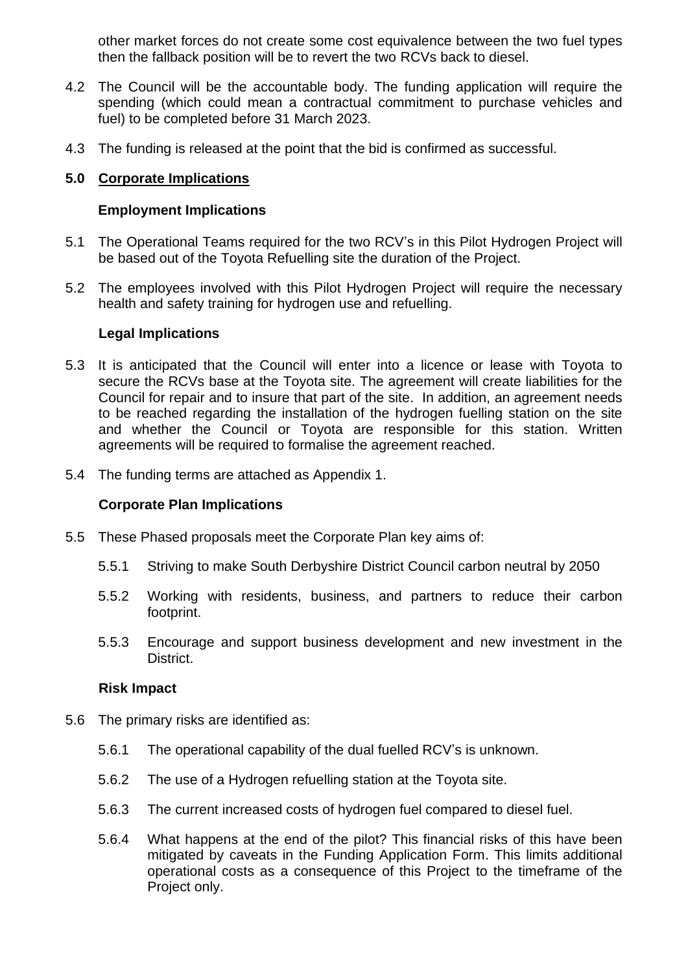other market forces do not create some cost equivalence between the two fuel types then the fallback position will be to revert the two RCVs back to diesel.

- 4.2 The Council will be the accountable body. The funding application will require the spending (which could mean a contractual commitment to purchase vehicles and fuel) to be completed before 31 March 2023.
- 4.3 The funding is released at the point that the bid is confirmed as successful.

### **5.0 Corporate Implications**

#### **Employment Implications**

- 5.1 The Operational Teams required for the two RCV's in this Pilot Hydrogen Project will be based out of the Toyota Refuelling site the duration of the Project.
- 5.2 The employees involved with this Pilot Hydrogen Project will require the necessary health and safety training for hydrogen use and refuelling.

#### **Legal Implications**

- 5.3 It is anticipated that the Council will enter into a licence or lease with Toyota to secure the RCVs base at the Toyota site. The agreement will create liabilities for the Council for repair and to insure that part of the site. In addition, an agreement needs to be reached regarding the installation of the hydrogen fuelling station on the site and whether the Council or Toyota are responsible for this station. Written agreements will be required to formalise the agreement reached.
- 5.4 The funding terms are attached as Appendix 1.

#### **Corporate Plan Implications**

- 5.5 These Phased proposals meet the Corporate Plan key aims of:
	- 5.5.1 Striving to make South Derbyshire District Council carbon neutral by 2050
	- 5.5.2 Working with residents, business, and partners to reduce their carbon footprint.
	- 5.5.3 Encourage and support business development and new investment in the District.

#### **Risk Impact**

- 5.6 The primary risks are identified as:
	- 5.6.1 The operational capability of the dual fuelled RCV's is unknown.
	- 5.6.2 The use of a Hydrogen refuelling station at the Toyota site.
	- 5.6.3 The current increased costs of hydrogen fuel compared to diesel fuel.
	- 5.6.4 What happens at the end of the pilot? This financial risks of this have been mitigated by caveats in the Funding Application Form. This limits additional operational costs as a consequence of this Project to the timeframe of the Project only.